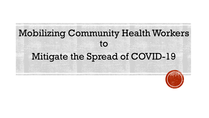# Mobilizing Community Health Workers to Mitigate the Spread of COVID-19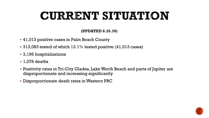# CURRENT SITUATION

#### (UPDATED 8.26.20)

- 41,013 positive cases in Palm Beach County
- 313,083 tested of which 13.1% tested positive (41,013 cases)
- 3,196 hospitalizations
- 1,078 deaths
- Positivity rates in Tri-City Glades, Lake Worth Beach and parts of Jupiter are disproportionate and increasing significantly
- Disproportionate death rates in Western PBC

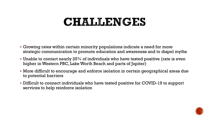### CHALLENGES

- Growing rates within certain minority populations indicate a need for more strategic communication to promote education and awareness and to dispel myths
- Unable to contact nearly 25% of individuals who have tested positive (rate is even higher in Western PBC, Lake Worth Beach and parts of Jupiter)
- More difficult to encourage and enforce isolation in certain geographical areas due to potential barriers
- Difficult to connect individuals who have tested positive for COVID-19 to support services to help reinforce isolation

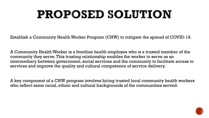# PROPOSED SOLUTION

Establish a Community Health Worker Program (CHW) to mitigate the spread of COVID-19.

A Community Health Worker is a frontline health employee who is a trusted member of the community they serve. This trusting relationship enables the worker to serve as an intermediary between government, social services and the community to facilitate access to services and improve the quality and cultural competence of service delivery.

A key component of a CHW program involves hiring trusted local community health workers who reflect same racial, ethnic and cultural backgrounds of the communities served.

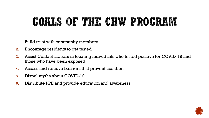# GOALS OF THE CHW PROGRAM

- 1. Build trust with community members
- 2. Encourage residents to get tested
- 3. Assist Contact Tracers in locating individuals who tested positive for COVID-19 and those who have been exposed
- 4. Assess and remove barriers that prevent isolation
- 5. Dispel myths about COVID-19
- 6. Distribute PPE and provide education and awareness

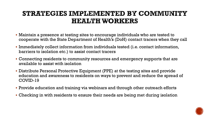#### STRATEGIES IMPLEMENTED BY COMMUNITY **HEALTH WORKERS**

- Maintain a presence at testing sites to encourage individuals who are tested to cooperate with the State Department of Health's (DoH) contact tracers when they call
- Immediately collect information from individuals tested (i.e. contact information, barriers to isolation etc.) to assist contact tracers
- Connecting residents to community resources and emergency supports that are available to assist with isolation
- Distribute Personal Protective Equipment (PPE) at the testing sites and provide education and awareness to residents on ways to prevent and reduce the spread of COVID-19
- Provide education and training via webinars and through other outreach efforts
- Checking in with residents to ensure their needs are being met during isolation

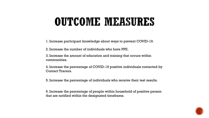## OUTCOME MEASURES

1. Increase participant knowledge about ways to prevent COVID-19.

2. Increase the number of individuals who have PPE.

3. Increase the amount of education and training that occurs within communities.

4. Increase the percentage of COVID-19 positive individuals contacted by Contact Tracers.

5. Increase the percentage of individuals who receive their test results.

6. Increase the percentage of people within household of positive person that are notified within the designated timeframe.